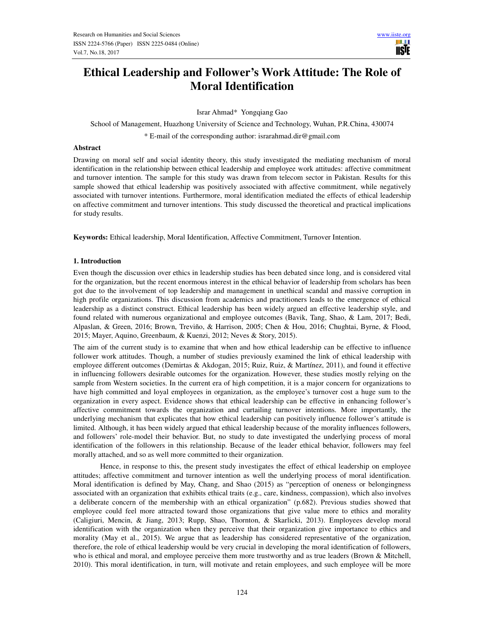

# **Ethical Leadership and Follower's Work Attitude: The Role of Moral Identification**

Israr Ahmad\* Yongqiang Gao

School of Management, Huazhong University of Science and Technology, Wuhan, P.R.China, 430074

\* E-mail of the corresponding author: israrahmad.dir@gmail.com

## **Abstract**

Drawing on moral self and social identity theory, this study investigated the mediating mechanism of moral identification in the relationship between ethical leadership and employee work attitudes: affective commitment and turnover intention. The sample for this study was drawn from telecom sector in Pakistan. Results for this sample showed that ethical leadership was positively associated with affective commitment, while negatively associated with turnover intentions. Furthermore, moral identification mediated the effects of ethical leadership on affective commitment and turnover intentions. This study discussed the theoretical and practical implications for study results.

**Keywords:** Ethical leadership, Moral Identification, Affective Commitment, Turnover Intention.

# **1. Introduction**

Even though the discussion over ethics in leadership studies has been debated since long, and is considered vital for the organization, but the recent enormous interest in the ethical behavior of leadership from scholars has been got due to the involvement of top leadership and management in unethical scandal and massive corruption in high profile organizations. This discussion from academics and practitioners leads to the emergence of ethical leadership as a distinct construct. Ethical leadership has been widely argued an effective leadership style, and found related with numerous organizational and employee outcomes (Bavik, Tang, Shao, & Lam, 2017; Bedi, Alpaslan, & Green, 2016; Brown, Treviño, & Harrison, 2005; Chen & Hou, 2016; Chughtai, Byrne, & Flood, 2015; Mayer, Aquino, Greenbaum, & Kuenzi, 2012; Neves & Story, 2015).

The aim of the current study is to examine that when and how ethical leadership can be effective to influence follower work attitudes. Though, a number of studies previously examined the link of ethical leadership with employee different outcomes (Demirtas & Akdogan, 2015; Ruiz, Ruiz, & Martínez, 2011), and found it effective in influencing followers desirable outcomes for the organization. However, these studies mostly relying on the sample from Western societies. In the current era of high competition, it is a major concern for organizations to have high committed and loyal employees in organization, as the employee's turnover cost a huge sum to the organization in every aspect. Evidence shows that ethical leadership can be effective in enhancing follower's affective commitment towards the organization and curtailing turnover intentions. More importantly, the underlying mechanism that explicates that how ethical leadership can positively influence follower's attitude is limited. Although, it has been widely argued that ethical leadership because of the morality influences followers, and followers' role-model their behavior. But, no study to date investigated the underlying process of moral identification of the followers in this relationship. Because of the leader ethical behavior, followers may feel morally attached, and so as well more committed to their organization.

 Hence, in response to this, the present study investigates the effect of ethical leadership on employee attitudes; affective commitment and turnover intention as well the underlying process of moral identification. Moral identification is defined by May, Chang, and Shao (2015) as "perception of oneness or belongingness associated with an organization that exhibits ethical traits (e.g., care, kindness, compassion), which also involves a deliberate concern of the membership with an ethical organization" (p.682). Previous studies showed that employee could feel more attracted toward those organizations that give value more to ethics and morality (Caligiuri, Mencin, & Jiang, 2013; Rupp, Shao, Thornton, & Skarlicki, 2013). Employees develop moral identification with the organization when they perceive that their organization give importance to ethics and morality (May et al., 2015). We argue that as leadership has considered representative of the organization, therefore, the role of ethical leadership would be very crucial in developing the moral identification of followers, who is ethical and moral, and employee perceive them more trustworthy and as true leaders (Brown & Mitchell, 2010). This moral identification, in turn, will motivate and retain employees, and such employee will be more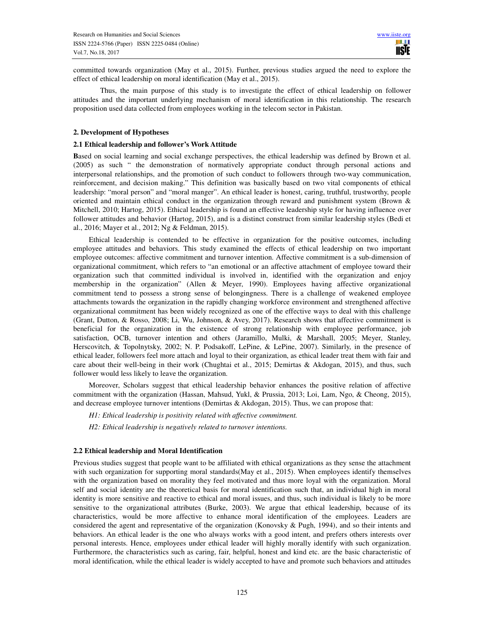committed towards organization (May et al., 2015). Further, previous studies argued the need to explore the effect of ethical leadership on moral identification (May et al., 2015).

 Thus, the main purpose of this study is to investigate the effect of ethical leadership on follower attitudes and the important underlying mechanism of moral identification in this relationship. The research proposition used data collected from employees working in the telecom sector in Pakistan.

## **2. Development of Hypotheses**

## **2.1 Ethical leadership and follower's Work Attitude**

**B**ased on social learning and social exchange perspectives, the ethical leadership was defined by Brown et al. (2005) as such " the demonstration of normatively appropriate conduct through personal actions and interpersonal relationships, and the promotion of such conduct to followers through two-way communication, reinforcement, and decision making." This definition was basically based on two vital components of ethical leadership: "moral person" and "moral manger". An ethical leader is honest, caring, truthful, trustworthy, people oriented and maintain ethical conduct in the organization through reward and punishment system (Brown & Mitchell, 2010; Hartog, 2015). Ethical leadership is found an effective leadership style for having influence over follower attitudes and behavior (Hartog, 2015), and is a distinct construct from similar leadership styles (Bedi et al., 2016; Mayer et al., 2012; Ng & Feldman, 2015).

Ethical leadership is contended to be effective in organization for the positive outcomes, including employee attitudes and behaviors. This study examined the effects of ethical leadership on two important employee outcomes: affective commitment and turnover intention. Affective commitment is a sub-dimension of organizational commitment, which refers to "an emotional or an affective attachment of employee toward their organization such that committed individual is involved in, identified with the organization and enjoy membership in the organization" (Allen & Meyer, 1990). Employees having affective organizational commitment tend to possess a strong sense of belongingness. There is a challenge of weakened employee attachments towards the organization in the rapidly changing workforce environment and strengthened affective organizational commitment has been widely recognized as one of the effective ways to deal with this challenge (Grant, Dutton, & Rosso, 2008; Li, Wu, Johnson, & Avey, 2017). Research shows that affective commitment is beneficial for the organization in the existence of strong relationship with employee performance, job satisfaction, OCB, turnover intention and others (Jaramillo, Mulki, & Marshall, 2005; Meyer, Stanley, Herscovitch, & Topolnytsky, 2002; N. P. Podsakoff, LePine, & LePine, 2007). Similarly, in the presence of ethical leader, followers feel more attach and loyal to their organization, as ethical leader treat them with fair and care about their well-being in their work (Chughtai et al., 2015; Demirtas & Akdogan, 2015), and thus, such follower would less likely to leave the organization.

Moreover, Scholars suggest that ethical leadership behavior enhances the positive relation of affective commitment with the organization (Hassan, Mahsud, Yukl, & Prussia, 2013; Loi, Lam, Ngo, & Cheong, 2015), and decrease employee turnover intentions (Demirtas & Akdogan, 2015). Thus, we can propose that:

*H1: Ethical leadership is positivity related with affective commitment.* 

*H2: Ethical leadership is negatively related to turnover intentions.* 

# **2.2 Ethical leadership and Moral Identification**

Previous studies suggest that people want to be affiliated with ethical organizations as they sense the attachment with such organization for supporting moral standards(May et al., 2015). When employees identify themselves with the organization based on morality they feel motivated and thus more loyal with the organization. Moral self and social identity are the theoretical basis for moral identification such that, an individual high in moral identity is more sensitive and reactive to ethical and moral issues, and thus, such individual is likely to be more sensitive to the organizational attributes (Burke, 2003). We argue that ethical leadership, because of its characteristics, would be more affective to enhance moral identification of the employees. Leaders are considered the agent and representative of the organization (Konovsky & Pugh, 1994), and so their intents and behaviors. An ethical leader is the one who always works with a good intent, and prefers others interests over personal interests. Hence, employees under ethical leader will highly morally identify with such organization. Furthermore, the characteristics such as caring, fair, helpful, honest and kind etc. are the basic characteristic of moral identification, while the ethical leader is widely accepted to have and promote such behaviors and attitudes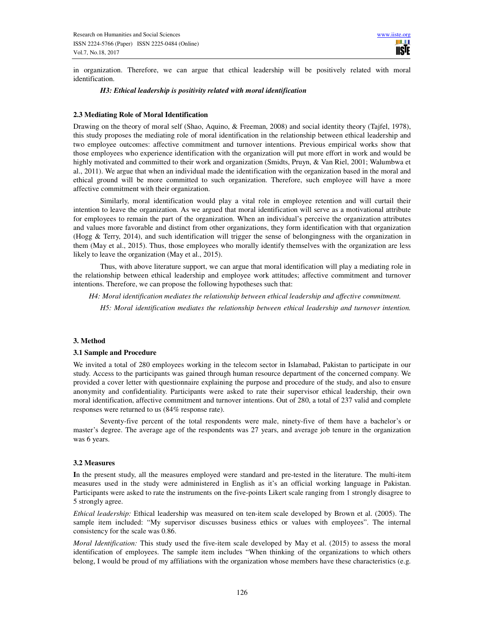in organization. Therefore, we can argue that ethical leadership will be positively related with moral identification.

## *H3: Ethical leadership is positivity related with moral identification*

## **2.3 Mediating Role of Moral Identification**

Drawing on the theory of moral self (Shao, Aquino, & Freeman, 2008) and social identity theory (Tajfel, 1978), this study proposes the mediating role of moral identification in the relationship between ethical leadership and two employee outcomes: affective commitment and turnover intentions. Previous empirical works show that those employees who experience identification with the organization will put more effort in work and would be highly motivated and committed to their work and organization (Smidts, Pruyn, & Van Riel, 2001; Walumbwa et al., 2011). We argue that when an individual made the identification with the organization based in the moral and ethical ground will be more committed to such organization. Therefore, such employee will have a more affective commitment with their organization.

 Similarly, moral identification would play a vital role in employee retention and will curtail their intention to leave the organization. As we argued that moral identification will serve as a motivational attribute for employees to remain the part of the organization. When an individual's perceive the organization attributes and values more favorable and distinct from other organizations, they form identification with that organization (Hogg & Terry, 2014), and such identification will trigger the sense of belongingness with the organization in them (May et al., 2015). Thus, those employees who morally identify themselves with the organization are less likely to leave the organization (May et al., 2015).

 Thus, with above literature support, we can argue that moral identification will play a mediating role in the relationship between ethical leadership and employee work attitudes; affective commitment and turnover intentions. Therefore, we can propose the following hypotheses such that:

*H4: Moral identification mediates the relationship between ethical leadership and affective commitment.* 

 *H5: Moral identification mediates the relationship between ethical leadership and turnover intention.* 

## **3. Method**

#### **3.1 Sample and Procedure**

We invited a total of 280 employees working in the telecom sector in Islamabad, Pakistan to participate in our study. Access to the participants was gained through human resource department of the concerned company. We provided a cover letter with questionnaire explaining the purpose and procedure of the study, and also to ensure anonymity and confidentiality. Participants were asked to rate their supervisor ethical leadership, their own moral identification, affective commitment and turnover intentions. Out of 280, a total of 237 valid and complete responses were returned to us (84% response rate).

 Seventy-five percent of the total respondents were male, ninety-five of them have a bachelor's or master's degree. The average age of the respondents was 27 years, and average job tenure in the organization was 6 years.

#### **3.2 Measures**

**I**n the present study, all the measures employed were standard and pre-tested in the literature. The multi-item measures used in the study were administered in English as it's an official working language in Pakistan. Participants were asked to rate the instruments on the five-points Likert scale ranging from 1 strongly disagree to 5 strongly agree.

*Ethical leadership:* Ethical leadership was measured on ten-item scale developed by Brown et al. (2005). The sample item included: "My supervisor discusses business ethics or values with employees". The internal consistency for the scale was 0.86.

*Moral Identification:* This study used the five-item scale developed by May et al. (2015) to assess the moral identification of employees. The sample item includes "When thinking of the organizations to which others belong, I would be proud of my affiliations with the organization whose members have these characteristics (e.g.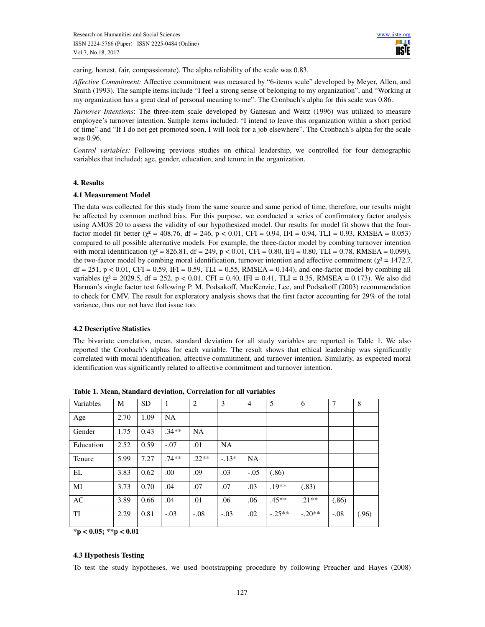caring, honest, fair, compassionate). The alpha reliability of the scale was 0.83.

*Affective Commitment:* Affective commitment was measured by "6-items scale" developed by Meyer, Allen, and Smith (1993). The sample items include "I feel a strong sense of belonging to my organization", and "Working at my organization has a great deal of personal meaning to me". The Cronbach's alpha for this scale was 0.86.

*Turnover Intentions*: The three-item scale developed by Ganesan and Weitz (1996) was utilized to measure employee's turnover intention. Sample items included: "I intend to leave this organization within a short period of time" and "If I do not get promoted soon, I will look for a job elsewhere". The Cronbach's alpha for the scale was 0.96.

*Control variables:* Following previous studies on ethical leadership, we controlled for four demographic variables that included; age, gender, education, and tenure in the organization.

## **4. Results**

## **4.1 Measurement Model**

The data was collected for this study from the same source and same period of time, therefore, our results might be affected by common method bias. For this purpose, we conducted a series of confirmatory factor analysis using AMOS 20 to assess the validity of our hypothesized model. Our results for model fit shows that the fourfactor model fit better ( $\chi^2$  = 408.76, df = 246, p < 0.01, CFI = 0.94, IFI = 0.94, TLI = 0.93, RMSEA = 0.053) compared to all possible alternative models. For example, the three-factor model by combing turnover intention with moral identification ( $\chi^2$  = 826.81, df = 249, p < 0.01, CFI = 0.80, IFI = 0.80, TLI = 0.78, RMSEA = 0.099), the two-factor model by combing moral identification, turnover intention and affective commitment ( $\chi^2$  = 1472.7,  $df = 251$ , p < 0.01, CFI = 0.59, IFI = 0.59, TLI = 0.55, RMSEA = 0.144), and one-factor model by combing all variables ( $\chi^2$  = 2029.5, df = 252, p < 0.01, CFI = 0.40, IFI = 0.41, TLI = 0.35, RMSEA = 0.173). We also did Harman's single factor test following P. M. Podsakoff, MacKenzie, Lee, and Podsakoff (2003) recommendation to check for CMV. The result for exploratory analysis shows that the first factor accounting for 29% of the total variance, thus our not have that issue too.

# **4.2 Descriptive Statistics**

The bivariate correlation, mean, standard deviation for all study variables are reported in Table 1. We also reported the Cronbach's alphas for each variable. The result shows that ethical leadership was significantly correlated with moral identification, affective commitment, and turnover intention. Similarly, as expected moral identification was significantly related to affective commitment and turnover intention.

| Variables | M    | <b>SD</b> | $\mathbf{1}$ | $\overline{2}$ | 3         | 4         | 5        | 6        | $\overline{7}$ | 8     |
|-----------|------|-----------|--------------|----------------|-----------|-----------|----------|----------|----------------|-------|
| Age       | 2.70 | 1.09      | <b>NA</b>    |                |           |           |          |          |                |       |
| Gender    | 1.75 | 0.43      | $.34**$      | <b>NA</b>      |           |           |          |          |                |       |
| Education | 2.52 | 0.59      | $-.07$       | .01            | <b>NA</b> |           |          |          |                |       |
| Tenure    | 5.99 | 7.27      | $.74**$      | $.22**$        | $-13*$    | <b>NA</b> |          |          |                |       |
| EL        | 3.83 | 0.62      | .00          | .09            | .03       | $-.05$    | (.86)    |          |                |       |
| MI        | 3.73 | 0.70      | .04          | .07            | .07       | .03       | $.19**$  | (.83)    |                |       |
| AC        | 3.89 | 0.66      | .04          | .01            | .06       | .06       | $.45**$  | $.21**$  | (.86)          |       |
| TI        | 2.29 | 0.81      | $-.03$       | $-.08$         | $-.03$    | .02       | $-.25**$ | $-.20**$ | $-.08$         | (.96) |

**Table 1. Mean, Standard deviation, Correlation for all variables** 

**\*p < 0.05; \*\*p < 0.01** 

# **4.3 Hypothesis Testing**

To test the study hypotheses, we used bootstrapping procedure by following Preacher and Hayes (2008)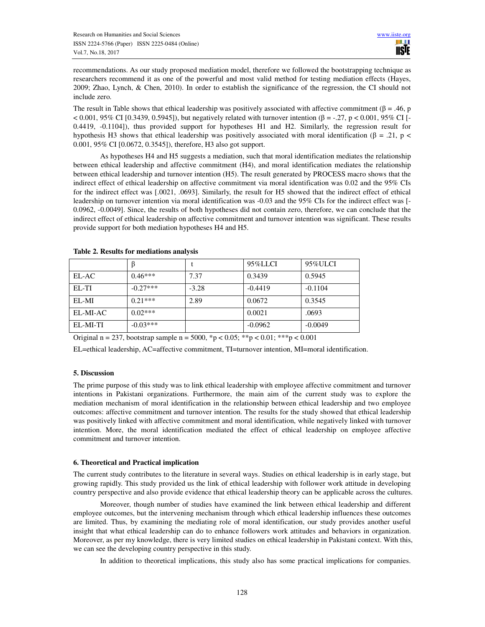recommendations. As our study proposed mediation model, therefore we followed the bootstrapping technique as researchers recommend it as one of the powerful and most valid method for testing mediation effects (Hayes, 2009; Zhao, Lynch, & Chen, 2010). In order to establish the significance of the regression, the CI should not include zero.

The result in Table shows that ethical leadership was positively associated with affective commitment ( $\beta$  = .46, p < 0.001, 95% CI [0.3439, 0.5945]), but negatively related with turnover intention (β = -.27, p < 0.001, 95% CI [-0.4419, -0.1104]), thus provided support for hypotheses H1 and H2. Similarly, the regression result for hypothesis H3 shows that ethical leadership was positively associated with moral identification (β = .21, p < 0.001, 95% CI [0.0672, 0.3545]), therefore, H3 also got support.

 As hypotheses H4 and H5 suggests a mediation, such that moral identification mediates the relationship between ethical leadership and affective commitment (H4), and moral identification mediates the relationship between ethical leadership and turnover intention (H5). The result generated by PROCESS macro shows that the indirect effect of ethical leadership on affective commitment via moral identification was 0.02 and the 95% CIs for the indirect effect was [.0021, .0693]. Similarly, the result for H5 showed that the indirect effect of ethical leadership on turnover intention via moral identification was -0.03 and the 95% CIs for the indirect effect was [- 0.0962, -0.0049]. Since, the results of both hypotheses did not contain zero, therefore, we can conclude that the indirect effect of ethical leadership on affective commitment and turnover intention was significant. These results provide support for both mediation hypotheses H4 and H5.

|          |            |         | 95%LLCI   | 95%ULCI   |
|----------|------------|---------|-----------|-----------|
| EL-AC    | $0.46***$  | 7.37    | 0.3439    | 0.5945    |
| EL-TI    | $-0.27***$ | $-3.28$ | $-0.4419$ | $-0.1104$ |
| $EL-MI$  | $0.21***$  | 2.89    | 0.0672    | 0.3545    |
| EL-MI-AC | $0.02***$  |         | 0.0021    | .0693     |
| EL-MI-TI | $-0.03***$ |         | $-0.0962$ | $-0.0049$ |

**Table 2. Results for mediations analysis** 

Original n = 237, bootstrap sample n = 5000,  ${}^*p$  < 0.05;  ${}^*p$  < 0.01;  ${}^*{}^*p$  < 0.001

EL=ethical leadership, AC=affective commitment, TI=turnover intention, MI=moral identification.

# **5. Discussion**

The prime purpose of this study was to link ethical leadership with employee affective commitment and turnover intentions in Pakistani organizations. Furthermore, the main aim of the current study was to explore the mediation mechanism of moral identification in the relationship between ethical leadership and two employee outcomes: affective commitment and turnover intention. The results for the study showed that ethical leadership was positively linked with affective commitment and moral identification, while negatively linked with turnover intention. More, the moral identification mediated the effect of ethical leadership on employee affective commitment and turnover intention.

# **6. Theoretical and Practical implication**

The current study contributes to the literature in several ways. Studies on ethical leadership is in early stage, but growing rapidly. This study provided us the link of ethical leadership with follower work attitude in developing country perspective and also provide evidence that ethical leadership theory can be applicable across the cultures.

 Moreover, though number of studies have examined the link between ethical leadership and different employee outcomes, but the intervening mechanism through which ethical leadership influences these outcomes are limited. Thus, by examining the mediating role of moral identification, our study provides another useful insight that what ethical leadership can do to enhance followers work attitudes and behaviors in organization. Moreover, as per my knowledge, there is very limited studies on ethical leadership in Pakistani context. With this, we can see the developing country perspective in this study.

In addition to theoretical implications, this study also has some practical implications for companies.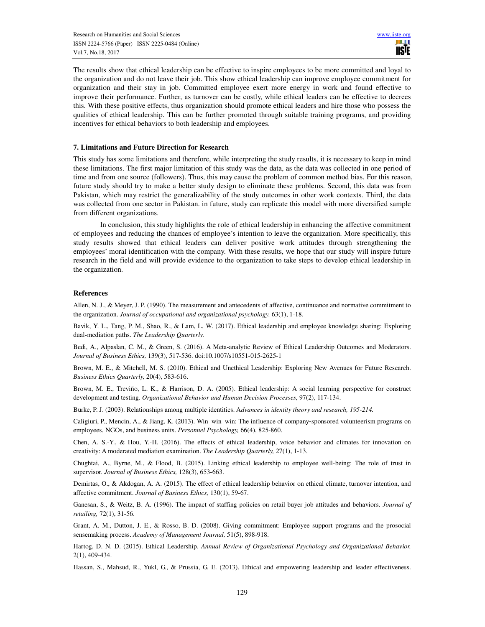The results show that ethical leadership can be effective to inspire employees to be more committed and loyal to the organization and do not leave their job. This show ethical leadership can improve employee commitment for organization and their stay in job. Committed employee exert more energy in work and found effective to improve their performance. Further, as turnover can be costly, while ethical leaders can be effective to decrees this. With these positive effects, thus organization should promote ethical leaders and hire those who possess the qualities of ethical leadership. This can be further promoted through suitable training programs, and providing incentives for ethical behaviors to both leadership and employees.

## **7. Limitations and Future Direction for Research**

This study has some limitations and therefore, while interpreting the study results, it is necessary to keep in mind these limitations. The first major limitation of this study was the data, as the data was collected in one period of time and from one source (followers). Thus, this may cause the problem of common method bias. For this reason, future study should try to make a better study design to eliminate these problems. Second, this data was from Pakistan, which may restrict the generalizability of the study outcomes in other work contexts. Third, the data was collected from one sector in Pakistan. in future, study can replicate this model with more diversified sample from different organizations.

 In conclusion, this study highlights the role of ethical leadership in enhancing the affective commitment of employees and reducing the chances of employee's intention to leave the organization. More specifically, this study results showed that ethical leaders can deliver positive work attitudes through strengthening the employees' moral identification with the company. With these results, we hope that our study will inspire future research in the field and will provide evidence to the organization to take steps to develop ethical leadership in the organization.

## **References**

Allen, N. J., & Meyer, J. P. (1990). The measurement and antecedents of affective, continuance and normative commitment to the organization. *Journal of occupational and organizational psychology,* 63(1), 1-18.

Bavik, Y. L., Tang, P. M., Shao, R., & Lam, L. W. (2017). Ethical leadership and employee knowledge sharing: Exploring dual-mediation paths. *The Leadership Quarterly.*

Bedi, A., Alpaslan, C. M., & Green, S. (2016). A Meta-analytic Review of Ethical Leadership Outcomes and Moderators. *Journal of Business Ethics,* 139(3), 517-536. doi:10.1007/s10551-015-2625-1

Brown, M. E., & Mitchell, M. S. (2010). Ethical and Unethical Leadership: Exploring New Avenues for Future Research. *Business Ethics Quarterly,* 20(4), 583-616.

Brown, M. E., Treviño, L. K., & Harrison, D. A. (2005). Ethical leadership: A social learning perspective for construct development and testing. *Organizational Behavior and Human Decision Processes,* 97(2), 117-134.

Burke, P. J. (2003). Relationships among multiple identities. A*dvances in identity theory and research, 195-214.* 

Caligiuri, P., Mencin, A., & Jiang, K. (2013). Win–win–win: The influence of company‐sponsored volunteerism programs on employees, NGOs, and business units. *Personnel Psychology,* 66(4), 825-860.

Chen, A. S.-Y., & Hou, Y.-H. (2016). The effects of ethical leadership, voice behavior and climates for innovation on creativity: A moderated mediation examination. *The Leadership Quarterly,* 27(1), 1-13.

Chughtai, A., Byrne, M., & Flood, B. (2015). Linking ethical leadership to employee well-being: The role of trust in supervisor. *Journal of Business Ethics,* 128(3), 653-663.

Demirtas, O., & Akdogan, A. A. (2015). The effect of ethical leadership behavior on ethical climate, turnover intention, and affective commitment. *Journal of Business Ethics,* 130(1), 59-67.

Ganesan, S., & Weitz, B. A. (1996). The impact of staffing policies on retail buyer job attitudes and behaviors. *Journal of retailing,* 72(1), 31-56.

Grant, A. M., Dutton, J. E., & Rosso, B. D. (2008). Giving commitment: Employee support programs and the prosocial sensemaking process. *Academy of Management Journal,* 51(5), 898-918.

Hartog, D. N. D. (2015). Ethical Leadership. *Annual Review of Organizational Psychology and Organizational Behavior,*  2(1), 409-434.

Hassan, S., Mahsud, R., Yukl, G., & Prussia, G. E. (2013). Ethical and empowering leadership and leader effectiveness.